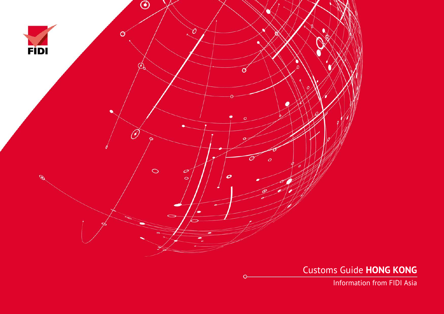

Customs Guide **HONG KONG**

Information from FIDI Asia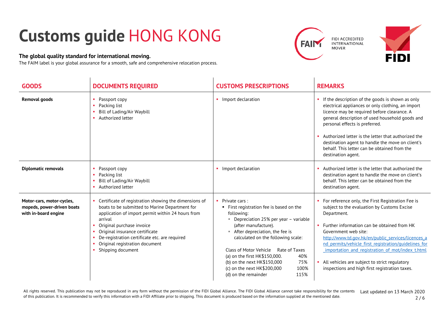## **Customs guide** HONG KONG

## **The global quality standard for international moving.**

The FAIM label is your global assurance for a smooth, safe and comprehensive relocation process.





| <b>GOODS</b>                                                                    | <b>DOCUMENTS REQUIRED</b>                                                                                                                                                                                                                                                                                                                      | <b>CUSTOMS PRESCRIPTIONS</b>                                                                                                                                                                                                                                                                                                                                                                                                                    | <b>REMARKS</b>                                                                                                                                                                                                                                                                                                                                                                                                                                                |
|---------------------------------------------------------------------------------|------------------------------------------------------------------------------------------------------------------------------------------------------------------------------------------------------------------------------------------------------------------------------------------------------------------------------------------------|-------------------------------------------------------------------------------------------------------------------------------------------------------------------------------------------------------------------------------------------------------------------------------------------------------------------------------------------------------------------------------------------------------------------------------------------------|---------------------------------------------------------------------------------------------------------------------------------------------------------------------------------------------------------------------------------------------------------------------------------------------------------------------------------------------------------------------------------------------------------------------------------------------------------------|
| <b>Removal goods</b>                                                            | Passport copy<br>Packing list<br>Bill of Lading/Air Waybill<br>• Authorized letter                                                                                                                                                                                                                                                             | • Import declaration                                                                                                                                                                                                                                                                                                                                                                                                                            | If the description of the goods is shown as only<br>electrical appliances or only clothing, an import<br>licence may be required before clearance. A<br>general description of used household goods and<br>personal effects is preferred.<br>Authorized letter is the letter that authorized the<br>destination agent to handle the move on client's<br>behalf. This letter can be obtained from the<br>destination agent.                                    |
| <b>Diplomatic removals</b>                                                      | Passport copy<br>Packing list<br>Bill of Lading/Air Waybill<br>Authorized letter                                                                                                                                                                                                                                                               | • Import declaration                                                                                                                                                                                                                                                                                                                                                                                                                            | Authorized letter is the letter that authorized the<br>destination agent to handle the move on client's<br>behalf. This letter can be obtained from the<br>destination agent.                                                                                                                                                                                                                                                                                 |
| Motor-cars, motor-cycles,<br>mopeds, power-driven boats<br>with in-board engine | Certificate of registration showing the dimensions of<br>boats to be submitted to Marine Department for<br>application of import permit within 24 hours from<br>arrival<br>Original purchase invoice<br>Original insurance certificate<br>De-registration certificate etc. are required<br>Original registration document<br>Shipping document | Private cars:<br>First registration fee is based on the<br>following:<br>Depreciation 25% per year - variable<br><b>The State</b><br>(after manufacture).<br>After depreciation, the fee is<br><b>COL</b><br>calculated on the following scale:<br>Class of Motor Vehicle<br>Rate of Taxes<br>40%<br>(a) on the first HK\$150,000.<br>(b) on the next HK\$150,000<br>75%<br>100%<br>(c) on the next HK\$200,000<br>(d) on the remainder<br>115% | For reference only, the First Registration Fee is<br>subject to the evaluation by Customs Excise<br>Department.<br>• Further information can be obtained from HK<br>Government web site:<br>http://www.td.gov.hk/en/public services/licences a<br>nd permits/vehicle first registration/guidelines for<br>importation and registration of mot/index t.html<br>All vehicles are subject to strict regulatory<br>inspections and high first registration taxes. |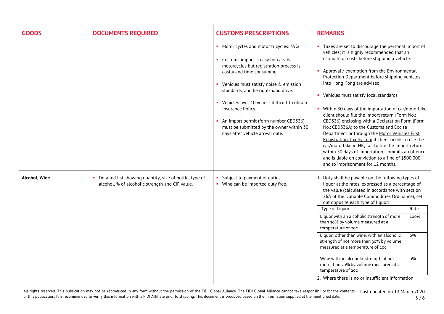| <b>GOODS</b>  | <b>DOCUMENTS REQUIRED</b>                                                                                  | <b>CUSTOMS PRESCRIPTIONS</b>                                                                                                                                                                                                                                                                                                                                                                                                           | <b>REMARKS</b>                                                                                                                                                                                                                                                                                                                                                                                                                                                                                                                                                                                                                                                                                                                                                                                                                                             |
|---------------|------------------------------------------------------------------------------------------------------------|----------------------------------------------------------------------------------------------------------------------------------------------------------------------------------------------------------------------------------------------------------------------------------------------------------------------------------------------------------------------------------------------------------------------------------------|------------------------------------------------------------------------------------------------------------------------------------------------------------------------------------------------------------------------------------------------------------------------------------------------------------------------------------------------------------------------------------------------------------------------------------------------------------------------------------------------------------------------------------------------------------------------------------------------------------------------------------------------------------------------------------------------------------------------------------------------------------------------------------------------------------------------------------------------------------|
|               |                                                                                                            | • Motor cycles and motor tricycles: 35%<br>Customs import is easy for cars &<br>motorcycles but registration process is<br>costly and time consuming.<br>Vehicles must satisfy noise & emission<br>standards, and be right-hand drive.<br>• Vehicles over 10 years - difficult to obtain<br>Insurance Policy.<br>An import permit (form number CED336)<br>must be submitted by the owner within 30<br>days after vehicle arrival date. | • Taxes are set to discourage the personal import of<br>vehicles; it is highly recommended that an<br>estimate of costs before shipping a vehicle.<br>• Approval / exemption from the Environmental<br>Protection Department before shipping vehicles<br>into Hong Kong are advised.<br>• Vehicles must satisfy local standards.<br>• Within 30 days of the importation of car/motorbike,<br>client should file the import return (Form No.:<br>CED336) enclosing with a Declaration Form (Form<br>No.: CED336A) to the Customs and Excise<br>Department or through the Motor Vehicles First<br>Registration Tax System if client needs to use the<br>car/motorbike in HK, fail to file the import return<br>within 30 days of importation, commits an offence<br>and is liable on conviction to a fine of \$500,000<br>and to imprisonment for 12 months. |
| Alcohol, Wine | Detailed list showing quantity, size of bottle, type of<br>alcohol, % of alcoholic strength and CIF value. | Subject to payment of duties.<br>• Wine can be imported duty free.                                                                                                                                                                                                                                                                                                                                                                     | 1. Duty shall be payable on the following types of<br>liquor at the rates, expressed as a percentage of<br>the value (calculated in accordance with section<br>26A of the Dutiable Commodities Ordinance), set<br>out opposite each type of liquor:<br>Type of Liquor<br>Rate<br>Liquor with an alcoholic strength of more<br>100%<br>than 30% by volume measured at a<br>temperature of 20c<br>Liquor, other than wine, with an alcoholic<br>$0\%$<br>strength of not more than 30% by volume<br>measured at a temperature of 20c<br>Wine with an alcoholic strength of not<br>$0\%$<br>more than 30% by volume measured at a<br>temperature of 20c<br>2. Where there is no or insufficient information                                                                                                                                                   |

All rights reserved. This publication may not be reproduced in any form without the permission of the FIDI Global Alliance. The FIDI Global Alliance cannot take responsibility for the contents All rights reserved. This publication may not be reproduced in any form without the permission of the FIDI Global Alliance. The FIDI Global Alliance cannot take responsibility for the contents Last updated on 13 March 2020 3 / 6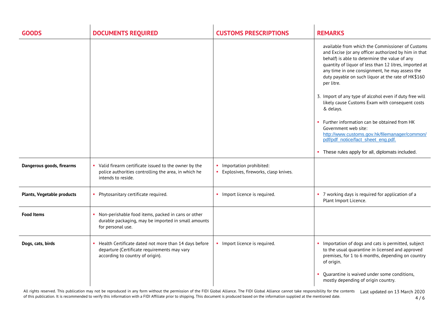| <b>GOODS</b>               | <b>DOCUMENTS REQUIRED</b>                                                                                                                 | <b>CUSTOMS PRESCRIPTIONS</b>                                           | <b>REMARKS</b>                                                                                                                                                                                                                                                                                                                                                                                                                                                                                                                                                                                                                                                                         |
|----------------------------|-------------------------------------------------------------------------------------------------------------------------------------------|------------------------------------------------------------------------|----------------------------------------------------------------------------------------------------------------------------------------------------------------------------------------------------------------------------------------------------------------------------------------------------------------------------------------------------------------------------------------------------------------------------------------------------------------------------------------------------------------------------------------------------------------------------------------------------------------------------------------------------------------------------------------|
|                            |                                                                                                                                           |                                                                        | available from which the Commissioner of Customs<br>and Excise (or any officer authorized by him in that<br>behalf) is able to determine the value of any<br>quantity of liquor of less than 12 litres, imported at<br>any time in one consignment, he may assess the<br>duty payable on such liquor at the rate of HK\$160<br>per litre.<br>3. Import of any type of alcohol even if duty free will<br>likely cause Customs Exam with consequent costs<br>& delays.<br>Further information can be obtained from HK<br>Government web site:<br>http://www.customs.gov.hk/filemanager/common/<br>pdf/pdf_notice/fact_sheet_eng.pdf.<br>• These rules apply for all, diplomats included. |
| Dangerous goods, firearms  | • Valid firearm certificate issued to the owner by the<br>police authorities controlling the area, in which he<br>intends to reside.      | Importation prohibited:<br><b>Explosives, fireworks, clasp knives.</b> |                                                                                                                                                                                                                                                                                                                                                                                                                                                                                                                                                                                                                                                                                        |
|                            |                                                                                                                                           |                                                                        |                                                                                                                                                                                                                                                                                                                                                                                                                                                                                                                                                                                                                                                                                        |
| Plants, Vegetable products | • Phytosanitary certificate required.                                                                                                     | • Import licence is required.                                          | • 7 working days is required for application of a<br>Plant Import Licence.                                                                                                                                                                                                                                                                                                                                                                                                                                                                                                                                                                                                             |
| <b>Food Items</b>          | Non-perishable food items, packed in cans or other<br>durable packaging, may be imported in small amounts<br>for personal use.            |                                                                        |                                                                                                                                                                                                                                                                                                                                                                                                                                                                                                                                                                                                                                                                                        |
| Dogs, cats, birds          | Health Certificate dated not more than 14 days before<br>departure (Certificate requirements may vary<br>according to country of origin). | • Import licence is required.                                          | • Importation of dogs and cats is permitted, subject<br>to the usual quarantine in licensed and approved<br>premises, for 1 to 6 months, depending on country<br>of origin.                                                                                                                                                                                                                                                                                                                                                                                                                                                                                                            |
|                            |                                                                                                                                           |                                                                        | • Quarantine is waived under some conditions,<br>mostly depending of origin country.                                                                                                                                                                                                                                                                                                                                                                                                                                                                                                                                                                                                   |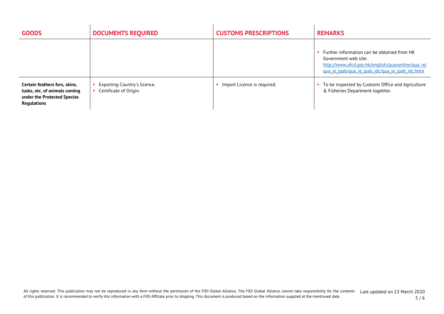| <b>GOODS</b>                                                                                                        | <b>DOCUMENTS REQUIRED</b>                                   | <b>CUSTOMS PRESCRIPTIONS</b> | <b>REMARKS</b>                                                                                                                                                                 |
|---------------------------------------------------------------------------------------------------------------------|-------------------------------------------------------------|------------------------------|--------------------------------------------------------------------------------------------------------------------------------------------------------------------------------|
|                                                                                                                     |                                                             |                              | • Further information can be obtained from HK<br>Government web site:<br>http://www.afcd.gov.hk/english/guarantine/gua_ie/<br>qua_ie_ipab/qua_ie_ipab_idc/qua_ie_ipab_idc.html |
| Certain feathers furs, skins,<br>tusks, etc. of animals coming<br>under the Protected Species<br><b>Regulations</b> | Exporting Country's licence.<br>Certificate of Origin.<br>٠ | Import Licence is required.  | To be inspected by Customs Office and Agriculture<br>& Fisheries Department together.                                                                                          |